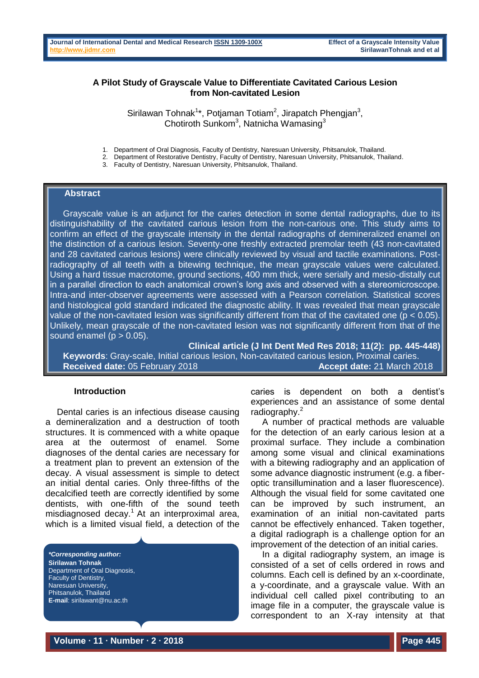## **A Pilot Study of Grayscale Value to Differentiate Cavitated Carious Lesion from Non-cavitated Lesion**

Sirilawan Tohnak<sup>1\*</sup>, Potjaman Totiam<sup>2</sup>, Jirapatch Phengjan<sup>3</sup>, Chotiroth Sunkom<sup>3</sup>, Natnicha Wamasing<sup>3</sup>

1. Department of Oral Diagnosis, Faculty of Dentistry, Naresuan University, Phitsanulok, Thailand.

2. Department of Restorative Dentistry, Faculty of Dentistry, Naresuan University, Phitsanulok, Thailand.

3. Faculty of Dentistry, Naresuan University, Phitsanulok, Thailand.

#### **Abstract**

Grayscale value is an adjunct for the caries detection in some dental radiographs, due to its distinguishability of the cavitated carious lesion from the non-carious one. This study aims to confirm an effect of the grayscale intensity in the dental radiographs of demineralized enamel on the distinction of a carious lesion. Seventy-one freshly extracted premolar teeth (43 non-cavitated and 28 cavitated carious lesions) were clinically reviewed by visual and tactile examinations. Postradiography of all teeth with a bitewing technique, the mean grayscale values were calculated. Using a hard tissue macrotome, ground sections, 400 mm thick, were serially and mesio-distally cut in a parallel direction to each anatomical crown's long axis and observed with a stereomicroscope. Intra-and inter-observer agreements were assessed with a Pearson correlation. Statistical scores and histological gold standard indicated the diagnostic ability. It was revealed that mean grayscale value of the non-cavitated lesion was significantly different from that of the cavitated one (p < 0.05). Unlikely, mean grayscale of the non-cavitated lesion was not significantly different from that of the sound enamel ( $p > 0.05$ ).

**Clinical article (J Int Dent Med Res 2018; 11(2): pp. 445-448) Keywords**: Gray-scale, Initial carious lesion, Non-cavitated carious lesion, Proximal caries. **Received date:** 05 February 2018 **Accept date:** 21 March 2018

#### **Introduction**

Dental caries is an infectious disease causing a demineralization and a destruction of tooth structures. It is commenced with a white opaque area at the outermost of enamel. Some diagnoses of the dental caries are necessary for a treatment plan to prevent an extension of the decay. A visual assessment is simple to detect an initial dental caries. Only three-fifths of the decalcified teeth are correctly identified by some dentists, with one-fifth of the sound teeth misdiagnosed decay.<sup>1</sup> At an interproximal area, which is a limited visual field, a detection of the

*\*Corresponding author:* **Sirilawan Tohnak** Department of Oral Diagnosis, Faculty of Dentistry, Naresuan University, Phitsanulok, Thailand **E-mail**: sirilawant@nu.ac.th

caries is dependent on both a dentist's experiences and an assistance of some dental radiography.<sup>2</sup>

A number of practical methods are valuable for the detection of an early carious lesion at a proximal surface. They include a combination among some visual and clinical examinations with a bitewing radiography and an application of some advance diagnostic instrument (e.g. a fiberoptic transillumination and a laser fluorescence). Although the visual field for some cavitated one can be improved by such instrument, an examination of an initial non-cavitated parts cannot be effectively enhanced. Taken together, a digital radiograph is a challenge option for an improvement of the detection of an initial caries.

In a digital radiography system, an image is consisted of a set of cells ordered in rows and columns. Each cell is defined by an x-coordinate, a y-coordinate, and a grayscale value. With an individual cell called pixel contributing to an image file in a computer, the grayscale value is correspondent to an X-ray intensity at that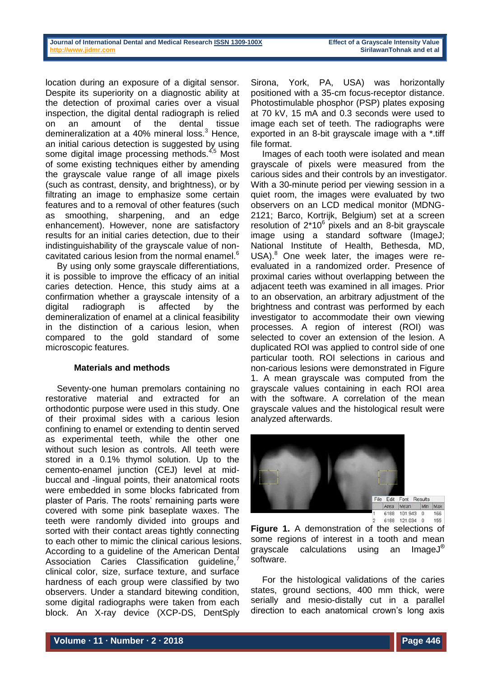| Journal of International Dental and Medical Research ISSN 1309-100X |  |  |  |
|---------------------------------------------------------------------|--|--|--|
| http://www.iidmr.com                                                |  |  |  |

location during an exposure of a digital sensor. Despite its superiority on a diagnostic ability at the detection of proximal caries over a visual inspection, the digital dental radiograph is relied on an amount of the dental tissue demineralization at a 40% mineral loss. $3$  Hence, an initial carious detection is suggested by using some digital image processing methods.<sup>4,5</sup> Most of some existing techniques either by amending the grayscale value range of all image pixels (such as contrast, density, and brightness), or by filtrating an image to emphasize some certain features and to a removal of other features (such as smoothing, sharpening, and an edge enhancement). However, none are satisfactory results for an initial caries detection, due to their indistinguishability of the grayscale value of noncavitated carious lesion from the normal enamel.<sup>6</sup>

By using only some grayscale differentiations, it is possible to improve the efficacy of an initial caries detection. Hence, this study aims at a confirmation whether a grayscale intensity of a digital radiograph is affected by the demineralization of enamel at a clinical feasibility in the distinction of a carious lesion, when compared to the gold standard of some microscopic features.

### **Materials and methods**

Seventy-one human premolars containing no restorative material and extracted for an orthodontic purpose were used in this study. One of their proximal sides with a carious lesion confining to enamel or extending to dentin served as experimental teeth, while the other one without such lesion as controls. All teeth were stored in a 0.1% thymol solution. Up to the cemento-enamel junction (CEJ) level at midbuccal and -lingual points, their anatomical roots were embedded in some blocks fabricated from plaster of Paris. The roots' remaining parts were covered with some pink baseplate waxes. The teeth were randomly divided into groups and sorted with their contact areas tightly connecting to each other to mimic the clinical carious lesions. According to a guideline of the American Dental Association Caries Classification quideline,<sup>7</sup> clinical color, size, surface texture, and surface hardness of each group were classified by two observers. Under a standard bitewing condition, some digital radiographs were taken from each block. An X-ray device (XCP-DS, DentSply

Sirona, York, PA, USA) was horizontally positioned with a 35-cm focus-receptor distance. Photostimulable phosphor (PSP) plates exposing at 70 kV, 15 mA and 0.3 seconds were used to image each set of teeth. The radiographs were exported in an 8-bit grayscale image with a \*.tiff file format.

Images of each tooth were isolated and mean grayscale of pixels were measured from the carious sides and their controls by an investigator. With a 30-minute period per viewing session in a quiet room, the images were evaluated by two observers on an LCD medical monitor (MDNG-2121; Barco, Kortrijk, Belgium) set at a screen resolution of  $2*10^6$  pixels and an 8-bit grayscale image using a standard software (ImageJ; National Institute of Health, Bethesda, MD, USA).<sup>8</sup> One week later, the images were reevaluated in a randomized order. Presence of proximal caries without overlapping between the adjacent teeth was examined in all images. Prior to an observation, an arbitrary adjustment of the brightness and contrast was performed by each investigator to accommodate their own viewing processes. A region of interest (ROI) was selected to cover an extension of the lesion. A duplicated ROI was applied to control side of one particular tooth. ROI selections in carious and non-carious lesions were demonstrated in Figure 1. A mean grayscale was computed from the grayscale values containing in each ROI area with the software. A correlation of the mean grayscale values and the histological result were analyzed afterwards.



**Figure 1.** A demonstration of the selections of some regions of interest in a tooth and mean grayscale calculations using an ImageJ® software.

For the histological validations of the caries states, ground sections, 400 mm thick, were serially and mesio-distally cut in a parallel direction to each anatomical crown's long axis

166

155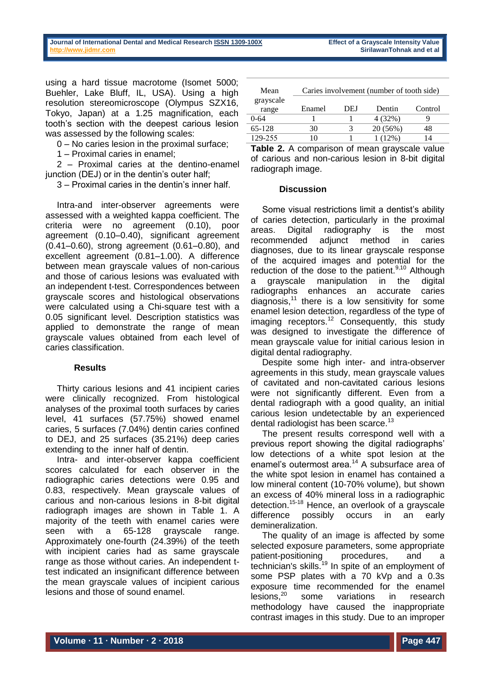using a hard tissue macrotome (Isomet 5000; Buehler, Lake Bluff, IL, USA). Using a high resolution stereomicroscope (Olympus SZX16, Tokyo, Japan) at a 1.25 magnification, each tooth's section with the deepest carious lesion was assessed by the following scales:

0 – No caries lesion in the proximal surface;

1 – Proximal caries in enamel;

2 – Proximal caries at the dentino-enamel junction (DEJ) or in the dentin's outer half;

3 – Proximal caries in the dentin's inner half.

Intra-and inter-observer agreements were assessed with a weighted kappa coefficient. The criteria were no agreement (0.10), poor agreement (0.10–0.40), significant agreement (0.41–0.60), strong agreement (0.61–0.80), and excellent agreement (0.81–1.00). A difference between mean grayscale values of non-carious and those of carious lesions was evaluated with an independent t-test. Correspondences between grayscale scores and histological observations were calculated using a Chi-square test with a 0.05 significant level. Description statistics was applied to demonstrate the range of mean grayscale values obtained from each level of caries classification.

# **Results**

Thirty carious lesions and 41 incipient caries were clinically recognized. From histological analyses of the proximal tooth surfaces by caries level, 41 surfaces (57.75%) showed enamel caries, 5 surfaces (7.04%) dentin caries confined to DEJ, and 25 surfaces (35.21%) deep caries extending to the inner half of dentin.

Intra- and inter-observer kappa coefficient scores calculated for each observer in the radiographic caries detections were 0.95 and 0.83, respectively. Mean grayscale values of carious and non-carious lesions in 8-bit digital radiograph images are shown in Table 1. A majority of the teeth with enamel caries were seen with a 65-128 grayscale range. Approximately one-fourth (24.39%) of the teeth with incipient caries had as same grayscale range as those without caries. An independent ttest indicated an insignificant difference between the mean grayscale values of incipient carious lesions and those of sound enamel.

| Mean               | Caries involvement (number of tooth side) |     |          |         |  |  |  |
|--------------------|-------------------------------------------|-----|----------|---------|--|--|--|
| grayscale<br>range | Enamel                                    | DEJ | Dentin   | Control |  |  |  |
| 0-64               |                                           |     | 4 (32%)  |         |  |  |  |
| 65-128             | 30                                        |     | 20(56%)  |         |  |  |  |
| 129-255            |                                           |     | $(12\%)$ |         |  |  |  |

**Table 2.** A comparison of mean grayscale value of carious and non-carious lesion in 8-bit digital radiograph image.

### **Discussion**

Some visual restrictions limit a dentist's ability of caries detection, particularly in the proximal areas. Digital radiography is the most recommended adjunct method in caries diagnoses, due to its linear grayscale response of the acquired images and potential for the reduction of the dose to the patient. $9,10$  Although a grayscale manipulation in the digital radiographs enhances an accurate caries diagnosis, $11$  there is a low sensitivity for some enamel lesion detection, regardless of the type of imaging receptors.<sup>12</sup> Consequently, this study was designed to investigate the difference of mean grayscale value for initial carious lesion in digital dental radiography.

Despite some high inter- and intra-observer agreements in this study, mean grayscale values of cavitated and non-cavitated carious lesions were not significantly different. Even from a dental radiograph with a good quality, an initial carious lesion undetectable by an experienced dental radiologist has been scarce.<sup>13</sup>

The present results correspond well with a previous report showing the digital radiographs' low detections of a white spot lesion at the enamel's outermost area.<sup>14</sup> A subsurface area of the white spot lesion in enamel has contained a low mineral content (10-70% volume), but shown an excess of 40% mineral loss in a radiographic detection.15-18 Hence, an overlook of a grayscale difference possibly occurs in an early demineralization.

The quality of an image is affected by some selected exposure parameters, some appropriate patient-positioning procedures, and a technician's skills.<sup>19</sup> In spite of an employment of some PSP plates with a 70 kVp and a 0.3s exposure time recommended for the enamel lesions,<sup>20</sup> some variations in research methodology have caused the inappropriate contrast images in this study. Due to an improper